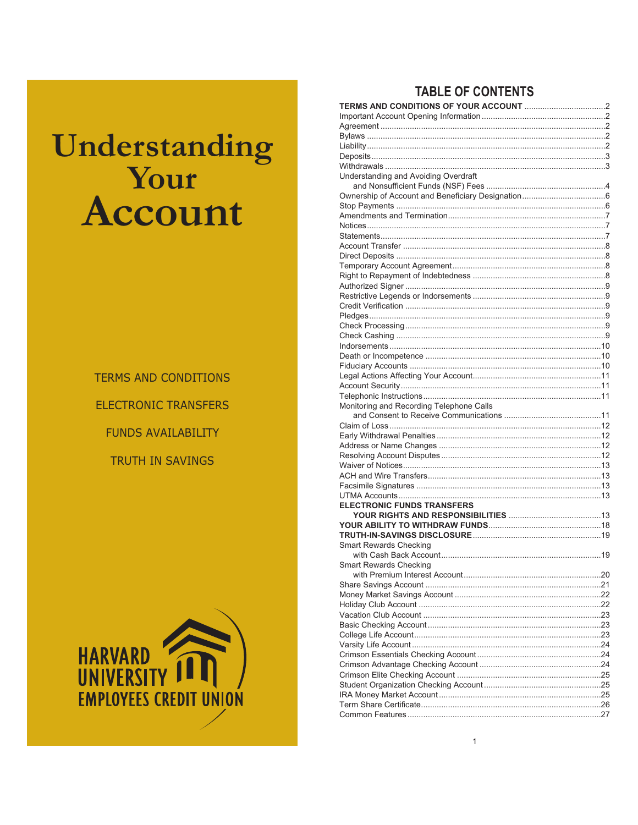# Understanding **Sour** Account

**TERMS AND CONDITIONS ELECTRONIC TRANSFERS FUNDS AVAILABILITY** TRUTH IN SAVINGS



# **TABLE OF CONTENTS**

| Understanding and Avoiding Overdraft     |  |
|------------------------------------------|--|
|                                          |  |
|                                          |  |
|                                          |  |
|                                          |  |
|                                          |  |
|                                          |  |
|                                          |  |
|                                          |  |
|                                          |  |
|                                          |  |
|                                          |  |
|                                          |  |
|                                          |  |
|                                          |  |
|                                          |  |
|                                          |  |
|                                          |  |
|                                          |  |
|                                          |  |
|                                          |  |
|                                          |  |
| Monitoring and Recording Telephone Calls |  |
|                                          |  |
|                                          |  |
|                                          |  |
|                                          |  |
|                                          |  |
|                                          |  |
|                                          |  |
|                                          |  |
|                                          |  |
| <b>ELECTRONIC FUNDS TRANSFERS</b>        |  |
|                                          |  |
|                                          |  |
|                                          |  |
| <b>Smart Rewards Checking</b>            |  |
|                                          |  |
| Smart Rewards Checking                   |  |
|                                          |  |
|                                          |  |
|                                          |  |
|                                          |  |
|                                          |  |
|                                          |  |
|                                          |  |
|                                          |  |
|                                          |  |
|                                          |  |
|                                          |  |
|                                          |  |
|                                          |  |
|                                          |  |
|                                          |  |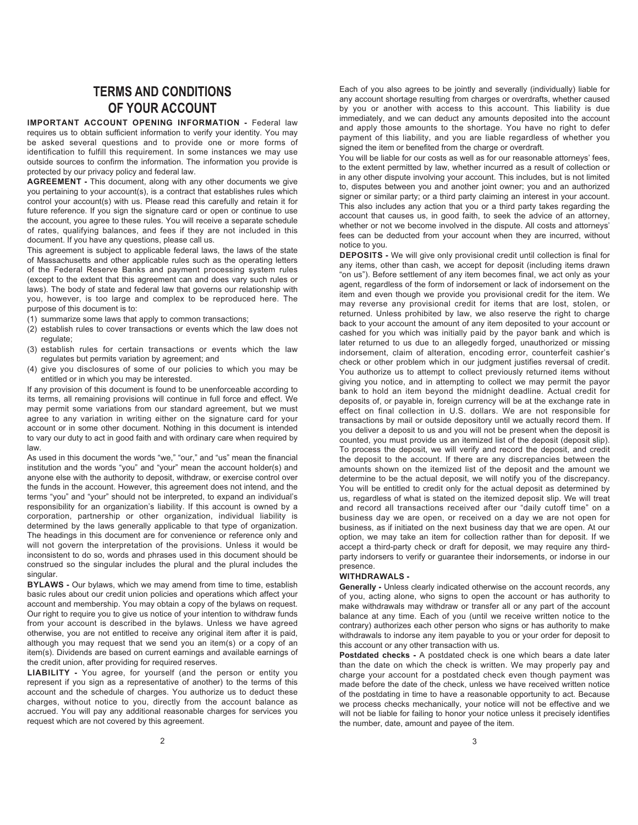# **TERMS AND CONDITIONS OF YOUR ACCOUNT**

**IMPORTANT ACCOUNT OPENING INFORMATION -** Federal law requires us to obtain sufficient information to verify your identity. You may be asked several questions and to provide one or more forms of identification to fulfill this requirement. In some instances we may use outside sources to confirm the information. The information you provide is protected by our privacy policy and federal law.

**AGREEMENT -** This document, along with any other documents we give you pertaining to your account(s), is a contract that establishes rules which control your account(s) with us. Please read this carefully and retain it for future reference. If you sign the signature card or open or continue to use the account, you agree to these rules. You will receive a separate schedule of rates, qualifying balances, and fees if they are not included in this document. If you have any questions, please call us.

This agreement is subject to applicable federal laws, the laws of the state of Massachusetts and other applicable rules such as the operating letters of the Federal Reserve Banks and payment processing system rules (except to the extent that this agreement can and does vary such rules or laws). The body of state and federal law that governs our relationship with you, however, is too large and complex to be reproduced here. The purpose of this document is to:

- (1) summarize some laws that apply to common transactions;
- (2) establish rules to cover transactions or events which the law does not regulate;
- (3) establish rules for certain transactions or events which the law regulates but permits variation by agreement; and
- (4) give you disclosures of some of our policies to which you may be entitled or in which you may be interested.

If any provision of this document is found to be unenforceable according to its terms, all remaining provisions will continue in full force and effect. We may permit some variations from our standard agreement, but we must agree to any variation in writing either on the signature card for your account or in some other document. Nothing in this document is intended to vary our duty to act in good faith and with ordinary care when required by law.

As used in this document the words "we," "our," and "us" mean the financial institution and the words "you" and "your" mean the account holder(s) and anyone else with the authority to deposit, withdraw, or exercise control over the funds in the account. However, this agreement does not intend, and the terms "you" and "your" should not be interpreted, to expand an individual's responsibility for an organization's liability. If this account is owned by a corporation, partnership or other organization, individual liability is determined by the laws generally applicable to that type of organization. The headings in this document are for convenience or reference only and will not govern the interpretation of the provisions. Unless it would be inconsistent to do so, words and phrases used in this document should be construed so the singular includes the plural and the plural includes the singular.

**BYLAWS -** Our bylaws, which we may amend from time to time, establish basic rules about our credit union policies and operations which affect your account and membership. You may obtain a copy of the bylaws on request. Our right to require you to give us notice of your intention to withdraw funds from your account is described in the bylaws. Unless we have agreed otherwise, you are not entitled to receive any original item after it is paid, although you may request that we send you an item(s) or a copy of an item(s). Dividends are based on current earnings and available earnings of the credit union, after providing for required reserves.

**LIABILITY -** You agree, for yourself (and the person or entity you represent if you sign as a representative of another) to the terms of this account and the schedule of charges. You authorize us to deduct these charges, without notice to you, directly from the account balance as accrued. You will pay any additional reasonable charges for services you request which are not covered by this agreement.

Each of you also agrees to be jointly and severally (individually) liable for any account shortage resulting from charges or overdrafts, whether caused by you or another with access to this account. This liability is due immediately, and we can deduct any amounts deposited into the account and apply those amounts to the shortage. You have no right to defer payment of this liability, and you are liable regardless of whether you signed the item or benefited from the charge or overdraft.

You will be liable for our costs as well as for our reasonable attorneys' fees, to the extent permitted by law, whether incurred as a result of collection or in any other dispute involving your account. This includes, but is not limited to, disputes between you and another joint owner; you and an authorized signer or similar party; or a third party claiming an interest in your account. This also includes any action that you or a third party takes regarding the account that causes us, in good faith, to seek the advice of an attorney, whether or not we become involved in the dispute. All costs and attorneys' fees can be deducted from your account when they are incurred, without notice to you.

**DEPOSITS -** We will give only provisional credit until collection is final for any items, other than cash, we accept for deposit (including items drawn "on us"). Before settlement of any item becomes final, we act only as your agent, regardless of the form of indorsement or lack of indorsement on the item and even though we provide you provisional credit for the item. We may reverse any provisional credit for items that are lost, stolen, or returned. Unless prohibited by law, we also reserve the right to charge back to your account the amount of any item deposited to your account or cashed for you which was initially paid by the payor bank and which is later returned to us due to an allegedly forged, unauthorized or missing indorsement, claim of alteration, encoding error, counterfeit cashier's check or other problem which in our judgment justifies reversal of credit. You authorize us to attempt to collect previously returned items without giving you notice, and in attempting to collect we may permit the payor bank to hold an item beyond the midnight deadline. Actual credit for deposits of, or payable in, foreign currency will be at the exchange rate in effect on final collection in U.S. dollars. We are not responsible for transactions by mail or outside depository until we actually record them. If you deliver a deposit to us and you will not be present when the deposit is counted, you must provide us an itemized list of the deposit (deposit slip). To process the deposit, we will verify and record the deposit, and credit the deposit to the account. If there are any discrepancies between the amounts shown on the itemized list of the deposit and the amount we determine to be the actual deposit, we will notify you of the discrepancy. You will be entitled to credit only for the actual deposit as determined by us, regardless of what is stated on the itemized deposit slip. We will treat and record all transactions received after our "daily cutoff time" on a business day we are open, or received on a day we are not open for business, as if initiated on the next business day that we are open. At our option, we may take an item for collection rather than for deposit. If we accept a third-party check or draft for deposit, we may require any thirdparty indorsers to verify or guarantee their indorsements, or indorse in our presence.

# **WITHDRAWALS -**

**Generally -** Unless clearly indicated otherwise on the account records, any of you, acting alone, who signs to open the account or has authority to make withdrawals may withdraw or transfer all or any part of the account balance at any time. Each of you (until we receive written notice to the contrary) authorizes each other person who signs or has authority to make withdrawals to indorse any item payable to you or your order for deposit to this account or any other transaction with us.

**Postdated checks -** A postdated check is one which bears a date later than the date on which the check is written. We may properly pay and charge your account for a postdated check even though payment was made before the date of the check, unless we have received written notice of the postdating in time to have a reasonable opportunity to act. Because we process checks mechanically, your notice will not be effective and we will not be liable for failing to honor your notice unless it precisely identifies the number, date, amount and payee of the item.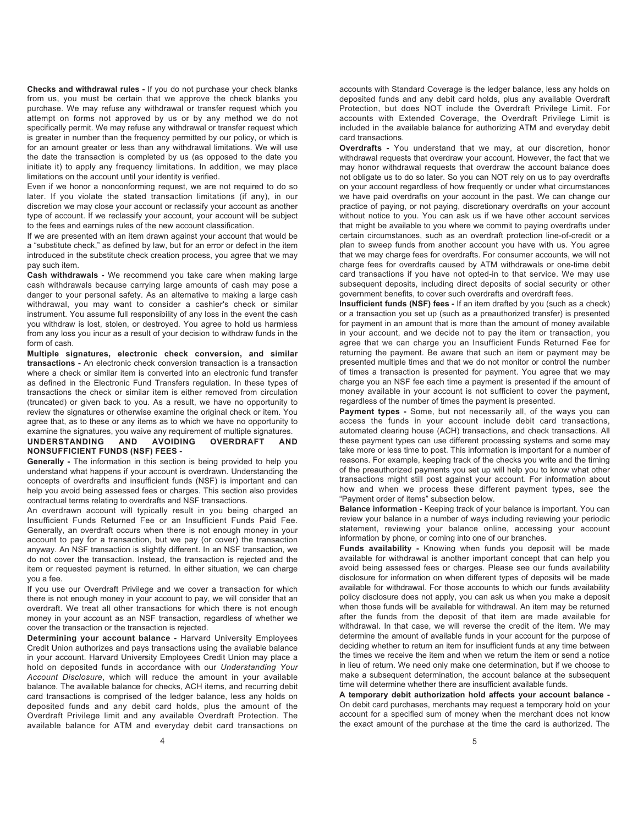**Checks and withdrawal rules -** If you do not purchase your check blanks from us, you must be certain that we approve the check blanks you purchase. We may refuse any withdrawal or transfer request which you attempt on forms not approved by us or by any method we do not specifically permit. We may refuse any withdrawal or transfer request which is greater in number than the frequency permitted by our policy, or which is for an amount greater or less than any withdrawal limitations. We will use the date the transaction is completed by us (as opposed to the date you initiate it) to apply any frequency limitations. In addition, we may place limitations on the account until your identity is verified.

Even if we honor a nonconforming request, we are not required to do so later. If you violate the stated transaction limitations (if any), in our discretion we may close your account or reclassify your account as another type of account. If we reclassify your account, your account will be subject to the fees and earnings rules of the new account classification.

If we are presented with an item drawn against your account that would be a "substitute check," as defined by law, but for an error or defect in the item introduced in the substitute check creation process, you agree that we may pay such item.

**Cash withdrawals -** We recommend you take care when making large cash withdrawals because carrying large amounts of cash may pose a danger to your personal safety. As an alternative to making a large cash withdrawal, you may want to consider a cashier's check or similar instrument. You assume full responsibility of any loss in the event the cash you withdraw is lost, stolen, or destroyed. You agree to hold us harmless from any loss you incur as a result of your decision to withdraw funds in the form of cash.

**Multiple signatures, electronic check conversion, and similar transactions -** An electronic check conversion transaction is a transaction where a check or similar item is converted into an electronic fund transfer as defined in the Electronic Fund Transfers regulation. In these types of transactions the check or similar item is either removed from circulation (truncated) or given back to you. As a result, we have no opportunity to review the signatures or otherwise examine the original check or item. You agree that, as to these or any items as to which we have no opportunity to

# examine the signatures, you waive any requirement of multiple signatures.<br>UNDERSTANDING AND AVOIDING OVERDRAFT AND **UNDERSTANDING AND AVOIDING OVERDRAFT AND NONSUFFICIENT FUNDS (NSF) FEES -**

**Generally -** The information in this section is being provided to help you understand what happens if your account is overdrawn. Understanding the concepts of overdrafts and insufficient funds (NSF) is important and can help you avoid being assessed fees or charges. This section also provides contractual terms relating to overdrafts and NSF transactions.

An overdrawn account will typically result in you being charged an Insufficient Funds Returned Fee or an Insufficient Funds Paid Fee. Generally, an overdraft occurs when there is not enough money in your account to pay for a transaction, but we pay (or cover) the transaction anyway. An NSF transaction is slightly different. In an NSF transaction, we do not cover the transaction. Instead, the transaction is rejected and the item or requested payment is returned. In either situation, we can charge you a fee.

If you use our Overdraft Privilege and we cover a transaction for which there is not enough money in your account to pay, we will consider that an overdraft. We treat all other transactions for which there is not enough money in your account as an NSF transaction, regardless of whether we cover the transaction or the transaction is rejected.

**Determining your account balance -** Harvard University Employees Credit Union authorizes and pays transactions using the available balance in your account. Harvard University Employees Credit Union may place a hold on deposited funds in accordance with our *Understanding Your Account Disclosure*, which will reduce the amount in your available balance. The available balance for checks, ACH items, and recurring debit card transactions is comprised of the ledger balance, less any holds on deposited funds and any debit card holds, plus the amount of the Overdraft Privilege limit and any available Overdraft Protection. The available balance for ATM and everyday debit card transactions on

accounts with Standard Coverage is the ledger balance, less any holds on deposited funds and any debit card holds, plus any available Overdraft Protection, but does NOT include the Overdraft Privilege Limit. For accounts with Extended Coverage, the Overdraft Privilege Limit is included in the available balance for authorizing ATM and everyday debit card transactions.

**Overdrafts -** You understand that we may, at our discretion, honor withdrawal requests that overdraw your account. However, the fact that we may honor withdrawal requests that overdraw the account balance does not obligate us to do so later. So you can NOT rely on us to pay overdrafts on your account regardless of how frequently or under what circumstances we have paid overdrafts on your account in the past. We can change our practice of paying, or not paying, discretionary overdrafts on your account without notice to you. You can ask us if we have other account services that might be available to you where we commit to paying overdrafts under certain circumstances, such as an overdraft protection line-of-credit or a plan to sweep funds from another account you have with us. You agree that we may charge fees for overdrafts. For consumer accounts, we will not charge fees for overdrafts caused by ATM withdrawals or one-time debit card transactions if you have not opted-in to that service. We may use subsequent deposits, including direct deposits of social security or other government benefits, to cover such overdrafts and overdraft fees.

**Insufficient funds (NSF) fees -** If an item drafted by you (such as a check) or a transaction you set up (such as a preauthorized transfer) is presented for payment in an amount that is more than the amount of money available in your account, and we decide not to pay the item or transaction, you agree that we can charge you an Insufficient Funds Returned Fee for returning the payment. Be aware that such an item or payment may be presented multiple times and that we do not monitor or control the number of times a transaction is presented for payment. You agree that we may charge you an NSF fee each time a payment is presented if the amount of money available in your account is not sufficient to cover the payment, regardless of the number of times the payment is presented.

**Payment types -** Some, but not necessarily all, of the ways you can access the funds in your account include debit card transactions, automated clearing house (ACH) transactions, and check transactions. All these payment types can use different processing systems and some may take more or less time to post. This information is important for a number of reasons. For example, keeping track of the checks you write and the timing of the preauthorized payments you set up will help you to know what other transactions might still post against your account. For information about how and when we process these different payment types, see the "Payment order of items" subsection below.

**Balance information -** Keeping track of your balance is important. You can review your balance in a number of ways including reviewing your periodic statement, reviewing your balance online, accessing your account information by phone, or coming into one of our branches.

**Funds availability -** Knowing when funds you deposit will be made available for withdrawal is another important concept that can help you avoid being assessed fees or charges. Please see our funds availability disclosure for information on when different types of deposits will be made available for withdrawal. For those accounts to which our funds availability policy disclosure does not apply, you can ask us when you make a deposit when those funds will be available for withdrawal. An item may be returned after the funds from the deposit of that item are made available for withdrawal. In that case, we will reverse the credit of the item. We may determine the amount of available funds in your account for the purpose of deciding whether to return an item for insufficient funds at any time between the times we receive the item and when we return the item or send a notice in lieu of return. We need only make one determination, but if we choose to make a subsequent determination, the account balance at the subsequent time will determine whether there are insufficient available funds.

**A temporary debit authorization hold affects your account balance -** On debit card purchases, merchants may request a temporary hold on your account for a specified sum of money when the merchant does not know the exact amount of the purchase at the time the card is authorized. The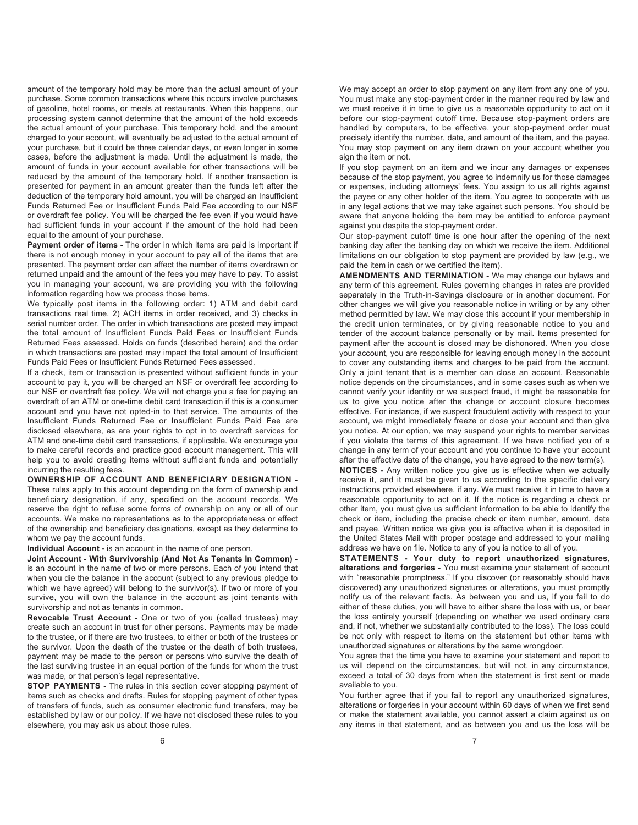amount of the temporary hold may be more than the actual amount of your purchase. Some common transactions where this occurs involve purchases of gasoline, hotel rooms, or meals at restaurants. When this happens, our processing system cannot determine that the amount of the hold exceeds the actual amount of your purchase. This temporary hold, and the amount charged to your account, will eventually be adjusted to the actual amount of your purchase, but it could be three calendar days, or even longer in some cases, before the adjustment is made. Until the adjustment is made, the amount of funds in your account available for other transactions will be reduced by the amount of the temporary hold. If another transaction is presented for payment in an amount greater than the funds left after the deduction of the temporary hold amount, you will be charged an Insufficient Funds Returned Fee or Insufficient Funds Paid Fee according to our NSF or overdraft fee policy. You will be charged the fee even if you would have had sufficient funds in your account if the amount of the hold had been equal to the amount of your purchase.

**Payment order of items -** The order in which items are paid is important if there is not enough money in your account to pay all of the items that are presented. The payment order can affect the number of items overdrawn or returned unpaid and the amount of the fees you may have to pay. To assist you in managing your account, we are providing you with the following information regarding how we process those items.

We typically post items in the following order: 1) ATM and debit card transactions real time, 2) ACH items in order received, and 3) checks in serial number order. The order in which transactions are posted may impact the total amount of Insufficient Funds Paid Fees or Insufficient Funds Returned Fees assessed. Holds on funds (described herein) and the order in which transactions are posted may impact the total amount of Insufficient Funds Paid Fees or Insufficient Funds Returned Fees assessed.

If a check, item or transaction is presented without sufficient funds in your account to pay it, you will be charged an NSF or overdraft fee according to our NSF or overdraft fee policy. We will not charge you a fee for paying an overdraft of an ATM or one-time debit card transaction if this is a consumer account and you have not opted-in to that service. The amounts of the Insufficient Funds Returned Fee or Insufficient Funds Paid Fee are disclosed elsewhere, as are your rights to opt in to overdraft services for ATM and one-time debit card transactions, if applicable. We encourage you to make careful records and practice good account management. This will help you to avoid creating items without sufficient funds and potentially incurring the resulting fees.

**OWNERSHIP OF ACCOUNT AND BENEFICIARY DESIGNATION -** These rules apply to this account depending on the form of ownership and beneficiary designation, if any, specified on the account records. We reserve the right to refuse some forms of ownership on any or all of our accounts. We make no representations as to the appropriateness or effect of the ownership and beneficiary designations, except as they determine to whom we pay the account funds.

# **Individual Account -** is an account in the name of one person.

**Joint Account - With Survivorship (And Not As Tenants In Common)**  is an account in the name of two or more persons. Each of you intend that when you die the balance in the account (subject to any previous pledge to which we have agreed) will belong to the survivor(s). If two or more of you survive, you will own the balance in the account as joint tenants with survivorship and not as tenants in common.

**Revocable Trust Account -** One or two of you (called trustees) may create such an account in trust for other persons. Payments may be made to the trustee, or if there are two trustees, to either or both of the trustees or the survivor. Upon the death of the trustee or the death of both trustees, payment may be made to the person or persons who survive the death of the last surviving trustee in an equal portion of the funds for whom the trust was made, or that person's legal representative.

**STOP PAYMENTS** - The rules in this section cover stopping payment of items such as checks and drafts. Rules for stopping payment of other types of transfers of funds, such as consumer electronic fund transfers, may be established by law or our policy. If we have not disclosed these rules to you elsewhere, you may ask us about those rules.

We may accept an order to stop payment on any item from any one of you. You must make any stop-payment order in the manner required by law and we must receive it in time to give us a reasonable opportunity to act on it before our stop-payment cutoff time. Because stop-payment orders are handled by computers, to be effective, your stop-payment order must precisely identify the number, date, and amount of the item, and the payee. You may stop payment on any item drawn on your account whether you sign the item or not.

If you stop payment on an item and we incur any damages or expenses because of the stop payment, you agree to indemnify us for those damages or expenses, including attorneys' fees. You assign to us all rights against the payee or any other holder of the item. You agree to cooperate with us in any legal actions that we may take against such persons. You should be aware that anyone holding the item may be entitled to enforce payment against you despite the stop-payment order.

Our stop-payment cutoff time is one hour after the opening of the next banking day after the banking day on which we receive the item. Additional limitations on our obligation to stop payment are provided by law (e.g., we paid the item in cash or we certified the item).

**AMENDMENTS AND TERMINATION -** We may change our bylaws and any term of this agreement. Rules governing changes in rates are provided separately in the Truth-in-Savings disclosure or in another document. For other changes we will give you reasonable notice in writing or by any other method permitted by law. We may close this account if your membership in the credit union terminates, or by giving reasonable notice to you and tender of the account balance personally or by mail. Items presented for payment after the account is closed may be dishonored. When you close your account, you are responsible for leaving enough money in the account to cover any outstanding items and charges to be paid from the account. Only a joint tenant that is a member can close an account. Reasonable notice depends on the circumstances, and in some cases such as when we cannot verify your identity or we suspect fraud, it might be reasonable for us to give you notice after the change or account closure becomes effective. For instance, if we suspect fraudulent activity with respect to your account, we might immediately freeze or close your account and then give you notice. At our option, we may suspend your rights to member services if you violate the terms of this agreement. If we have notified you of a change in any term of your account and you continue to have your account after the effective date of the change, you have agreed to the new term(s).

**NOTICES -** Any written notice you give us is effective when we actually receive it, and it must be given to us according to the specific delivery instructions provided elsewhere, if any. We must receive it in time to have a reasonable opportunity to act on it. If the notice is regarding a check or other item, you must give us sufficient information to be able to identify the check or item, including the precise check or item number, amount, date and payee. Written notice we give you is effective when it is deposited in the United States Mail with proper postage and addressed to your mailing address we have on file. Notice to any of you is notice to all of you.

**STATEMENTS - Your duty to report unauthorized signatures, alterations and forgeries -** You must examine your statement of account with "reasonable promptness." If you discover (or reasonably should have discovered) any unauthorized signatures or alterations, you must promptly notify us of the relevant facts. As between you and us, if you fail to do either of these duties, you will have to either share the loss with us, or bear the loss entirely yourself (depending on whether we used ordinary care and, if not, whether we substantially contributed to the loss). The loss could be not only with respect to items on the statement but other items with unauthorized signatures or alterations by the same wrongdoer.

You agree that the time you have to examine your statement and report to us will depend on the circumstances, but will not, in any circumstance, exceed a total of 30 days from when the statement is first sent or made available to you.

You further agree that if you fail to report any unauthorized signatures, alterations or forgeries in your account within 60 days of when we first send or make the statement available, you cannot assert a claim against us on any items in that statement, and as between you and us the loss will be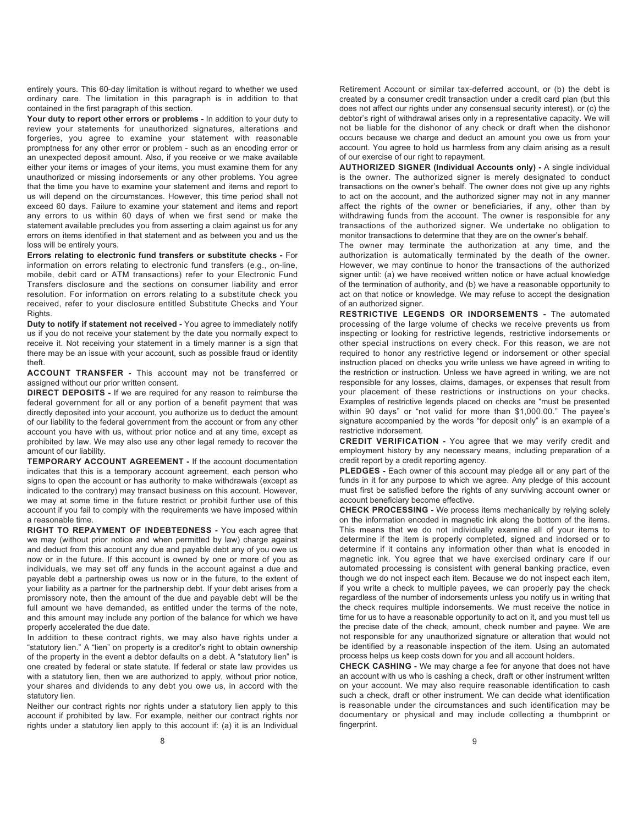entirely yours. This 60-day limitation is without regard to whether we used ordinary care. The limitation in this paragraph is in addition to that contained in the first paragraph of this section.

**Your duty to report other errors or problems -** In addition to your duty to review your statements for unauthorized signatures, alterations and forgeries, you agree to examine your statement with reasonable promptness for any other error or problem - such as an encoding error or an unexpected deposit amount. Also, if you receive or we make available either your items or images of your items, you must examine them for any unauthorized or missing indorsements or any other problems. You agree that the time you have to examine your statement and items and report to us will depend on the circumstances. However, this time period shall not exceed 60 days. Failure to examine your statement and items and report any errors to us within 60 days of when we first send or make the statement available precludes you from asserting a claim against us for any errors on items identified in that statement and as between you and us the loss will be entirely yours.

**Errors relating to electronic fund transfers or substitute checks -** For information on errors relating to electronic fund transfers (e.g., on-line, mobile, debit card or ATM transactions) refer to your Electronic Fund Transfers disclosure and the sections on consumer liability and error resolution. For information on errors relating to a substitute check you received, refer to your disclosure entitled Substitute Checks and Your Rights.

**Duty to notify if statement not received -** You agree to immediately notify us if you do not receive your statement by the date you normally expect to receive it. Not receiving your statement in a timely manner is a sign that there may be an issue with your account, such as possible fraud or identity theft.

**ACCOUNT TRANSFER -** This account may not be transferred or assigned without our prior written consent.

**DIRECT DEPOSITS -** If we are required for any reason to reimburse the federal government for all or any portion of a benefit payment that was directly deposited into your account, you authorize us to deduct the amount of our liability to the federal government from the account or from any other account you have with us, without prior notice and at any time, except as prohibited by law. We may also use any other legal remedy to recover the amount of our liability.

**TEMPORARY ACCOUNT AGREEMENT -** If the account documentation indicates that this is a temporary account agreement, each person who signs to open the account or has authority to make withdrawals (except as indicated to the contrary) may transact business on this account. However, we may at some time in the future restrict or prohibit further use of this account if you fail to comply with the requirements we have imposed within a reasonable time.

**RIGHT TO REPAYMENT OF INDEBTEDNESS -** You each agree that we may (without prior notice and when permitted by law) charge against and deduct from this account any due and payable debt any of you owe us now or in the future. If this account is owned by one or more of you as individuals, we may set off any funds in the account against a due and payable debt a partnership owes us now or in the future, to the extent of your liability as a partner for the partnership debt. If your debt arises from a promissory note, then the amount of the due and payable debt will be the full amount we have demanded, as entitled under the terms of the note, and this amount may include any portion of the balance for which we have properly accelerated the due date.

In addition to these contract rights, we may also have rights under a "statutory lien." A "lien" on property is a creditor's right to obtain ownership of the property in the event a debtor defaults on a debt. A "statutory lien" is one created by federal or state statute. If federal or state law provides us with a statutory lien, then we are authorized to apply, without prior notice, your shares and dividends to any debt you owe us, in accord with the statutory lien.

Neither our contract rights nor rights under a statutory lien apply to this account if prohibited by law. For example, neither our contract rights nor rights under a statutory lien apply to this account if: (a) it is an Individual

Retirement Account or similar tax-deferred account, or (b) the debt is created by a consumer credit transaction under a credit card plan (but this does not affect our rights under any consensual security interest), or (c) the debtor's right of withdrawal arises only in a representative capacity. We will not be liable for the dishonor of any check or draft when the dishonor occurs because we charge and deduct an amount you owe us from your account. You agree to hold us harmless from any claim arising as a result of our exercise of our right to repayment.

**AUTHORIZED SIGNER (Individual Accounts only) -** A single individual is the owner. The authorized signer is merely designated to conduct transactions on the owner's behalf. The owner does not give up any rights to act on the account, and the authorized signer may not in any manner affect the rights of the owner or beneficiaries, if any, other than by withdrawing funds from the account. The owner is responsible for any transactions of the authorized signer. We undertake no obligation to monitor transactions to determine that they are on the owner's behalf.

The owner may terminate the authorization at any time, and the authorization is automatically terminated by the death of the owner. However, we may continue to honor the transactions of the authorized signer until: (a) we have received written notice or have actual knowledge of the termination of authority, and (b) we have a reasonable opportunity to act on that notice or knowledge. We may refuse to accept the designation of an authorized signer.

**RESTRICTIVE LEGENDS OR INDORSEMENTS -** The automated processing of the large volume of checks we receive prevents us from inspecting or looking for restrictive legends, restrictive indorsements or other special instructions on every check. For this reason, we are not required to honor any restrictive legend or indorsement or other special instruction placed on checks you write unless we have agreed in writing to the restriction or instruction. Unless we have agreed in writing, we are not responsible for any losses, claims, damages, or expenses that result from your placement of these restrictions or instructions on your checks. Examples of restrictive legends placed on checks are "must be presented within 90 days" or "not valid for more than \$1,000.00." The payee's signature accompanied by the words "for deposit only" is an example of a restrictive indorsement.

**CREDIT VERIFICATION -** You agree that we may verify credit and employment history by any necessary means, including preparation of a credit report by a credit reporting agency.

**PLEDGES** - Each owner of this account may pledge all or any part of the funds in it for any purpose to which we agree. Any pledge of this account must first be satisfied before the rights of any surviving account owner or account beneficiary become effective.

**CHECK PROCESSING -** We process items mechanically by relying solely on the information encoded in magnetic ink along the bottom of the items. This means that we do not individually examine all of your items to determine if the item is properly completed, signed and indorsed or to determine if it contains any information other than what is encoded in magnetic ink. You agree that we have exercised ordinary care if our automated processing is consistent with general banking practice, even though we do not inspect each item. Because we do not inspect each item, if you write a check to multiple payees, we can properly pay the check regardless of the number of indorsements unless you notify us in writing that the check requires multiple indorsements. We must receive the notice in time for us to have a reasonable opportunity to act on it, and you must tell us the precise date of the check, amount, check number and payee. We are not responsible for any unauthorized signature or alteration that would not be identified by a reasonable inspection of the item. Using an automated process helps us keep costs down for you and all account holders.

**CHECK CASHING -** We may charge a fee for anyone that does not have an account with us who is cashing a check, draft or other instrument written on your account. We may also require reasonable identification to cash such a check, draft or other instrument. We can decide what identification is reasonable under the circumstances and such identification may be documentary or physical and may include collecting a thumbprint or fingerprint.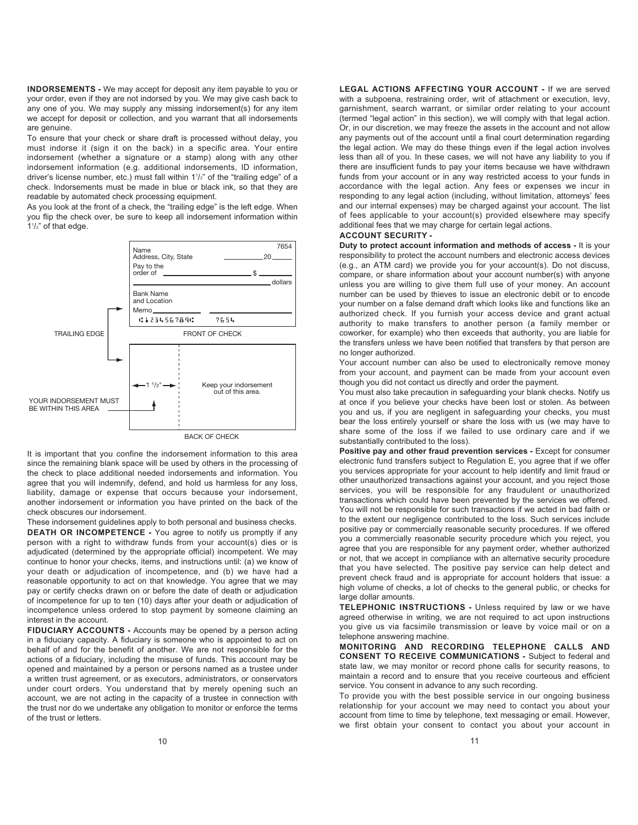**INDORSEMENTS -** We may accept for deposit any item payable to you or your order, even if they are not indorsed by you. We may give cash back to any one of you. We may supply any missing indorsement(s) for any item we accept for deposit or collection, and you warrant that all indorsements are genuine.

To ensure that your check or share draft is processed without delay, you must indorse it (sign it on the back) in a specific area. Your entire indorsement (whether a signature or a stamp) along with any other indorsement information (e.g. additional indorsements, ID information, driver's license number, etc.) must fall within 1<sup>1</sup>/<sub>2</sub>" of the "trailing edge" of a check. Indorsements must be made in blue or black ink, so that they are readable by automated check processing equipment.

As you look at the front of a check, the "trailing edge" is the left edge. When you flip the check over, be sure to keep all indorsement information within 11 /2" of that edge.



BACK OF CHECK

It is important that you confine the indorsement information to this area since the remaining blank space will be used by others in the processing of the check to place additional needed indorsements and information. You agree that you will indemnify, defend, and hold us harmless for any loss, liability, damage or expense that occurs because your indorsement, another indorsement or information you have printed on the back of the check obscures our indorsement.

These indorsement guidelines apply to both personal and business checks. **DEATH OR INCOMPETENCE -** You agree to notify us promptly if any person with a right to withdraw funds from your account(s) dies or is adjudicated (determined by the appropriate official) incompetent. We may continue to honor your checks, items, and instructions until: (a) we know of your death or adjudication of incompetence, and (b) we have had a reasonable opportunity to act on that knowledge. You agree that we may pay or certify checks drawn on or before the date of death or adjudication of incompetence for up to ten (10) days after your death or adjudication of incompetence unless ordered to stop payment by someone claiming an interest in the account.

**FIDUCIARY ACCOUNTS -** Accounts may be opened by a person acting in a fiduciary capacity. A fiduciary is someone who is appointed to act on behalf of and for the benefit of another. We are not responsible for the actions of a fiduciary, including the misuse of funds. This account may be opened and maintained by a person or persons named as a trustee under a written trust agreement, or as executors, administrators, or conservators under court orders. You understand that by merely opening such an account, we are not acting in the capacity of a trustee in connection with the trust nor do we undertake any obligation to monitor or enforce the terms of the trust or letters.

**LEGAL ACTIONS AFFECTING YOUR ACCOUNT -** If we are served with a subpoena, restraining order, writ of attachment or execution, levy, garnishment, search warrant, or similar order relating to your account (termed "legal action" in this section), we will comply with that legal action. Or, in our discretion, we may freeze the assets in the account and not allow any payments out of the account until a final court determination regarding the legal action. We may do these things even if the legal action involves less than all of you. In these cases, we will not have any liability to you if there are insufficient funds to pay your items because we have withdrawn funds from your account or in any way restricted access to your funds in accordance with the legal action. Any fees or expenses we incur in responding to any legal action (including, without limitation, attorneys' fees and our internal expenses) may be charged against your account. The list of fees applicable to your account(s) provided elsewhere may specify additional fees that we may charge for certain legal actions.

# **ACCOUNT SECURITY -**

**Duty to protect account information and methods of access -** It is your responsibility to protect the account numbers and electronic access devices (e.g., an ATM card) we provide you for your account(s). Do not discuss, compare, or share information about your account number(s) with anyone unless you are willing to give them full use of your money. An account number can be used by thieves to issue an electronic debit or to encode your number on a false demand draft which looks like and functions like an authorized check. If you furnish your access device and grant actual authority to make transfers to another person (a family member or coworker, for example) who then exceeds that authority, you are liable for the transfers unless we have been notified that transfers by that person are no longer authorized.

Your account number can also be used to electronically remove money from your account, and payment can be made from your account even though you did not contact us directly and order the payment.

You must also take precaution in safeguarding your blank checks. Notify us at once if you believe your checks have been lost or stolen. As between you and us, if you are negligent in safeguarding your checks, you must bear the loss entirely yourself or share the loss with us (we may have to share some of the loss if we failed to use ordinary care and if we substantially contributed to the loss).

**Positive pay and other fraud prevention services - Except for consumer** electronic fund transfers subject to Regulation E, you agree that if we offer you services appropriate for your account to help identify and limit fraud or other unauthorized transactions against your account, and you reject those services, you will be responsible for any fraudulent or unauthorized transactions which could have been prevented by the services we offered. You will not be responsible for such transactions if we acted in bad faith or to the extent our negligence contributed to the loss. Such services include positive pay or commercially reasonable security procedures. If we offered you a commercially reasonable security procedure which you reject, you agree that you are responsible for any payment order, whether authorized or not, that we accept in compliance with an alternative security procedure that you have selected. The positive pay service can help detect and prevent check fraud and is appropriate for account holders that issue: a high volume of checks, a lot of checks to the general public, or checks for large dollar amounts.

**TELEPHONIC INSTRUCTIONS -** Unless required by law or we have agreed otherwise in writing, we are not required to act upon instructions you give us via facsimile transmission or leave by voice mail or on a telephone answering machine.

**MONITORING AND RECORDING TELEPHONE CALLS AND CONSENT TO RECEIVE COMMUNICATIONS -** Subject to federal and state law, we may monitor or record phone calls for security reasons, to maintain a record and to ensure that you receive courteous and efficient service. You consent in advance to any such recording.

To provide you with the best possible service in our ongoing business relationship for your account we may need to contact you about your account from time to time by telephone, text messaging or email. However, we first obtain your consent to contact you about your account in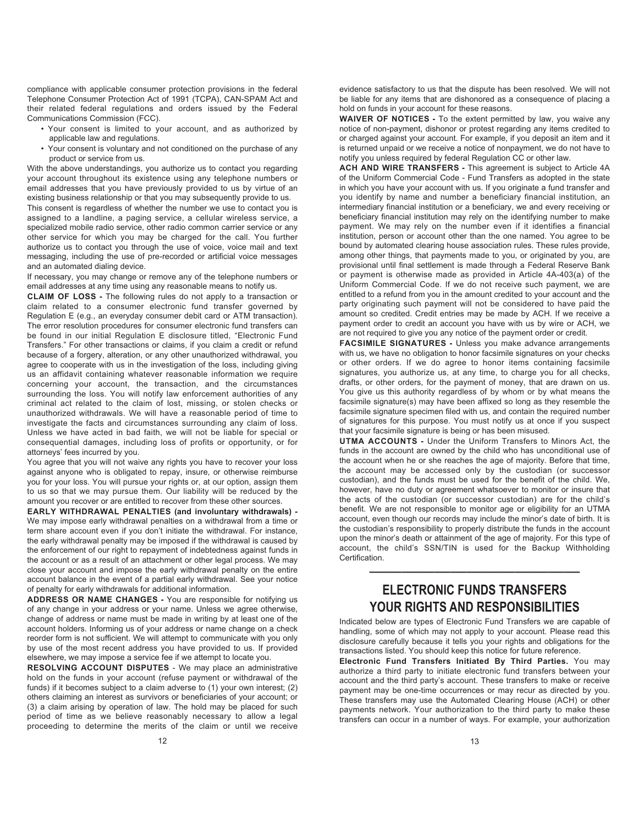compliance with applicable consumer protection provisions in the federal Telephone Consumer Protection Act of 1991 (TCPA), CAN-SPAM Act and their related federal regulations and orders issued by the Federal Communications Commission (FCC).

- Your consent is limited to your account, and as authorized by applicable law and regulations.
- Your consent is voluntary and not conditioned on the purchase of any product or service from us.

With the above understandings, you authorize us to contact you regarding your account throughout its existence using any telephone numbers or email addresses that you have previously provided to us by virtue of an existing business relationship or that you may subsequently provide to us.

This consent is regardless of whether the number we use to contact you is assigned to a landline, a paging service, a cellular wireless service, a specialized mobile radio service, other radio common carrier service or any other service for which you may be charged for the call. You further authorize us to contact you through the use of voice, voice mail and text messaging, including the use of pre-recorded or artificial voice messages and an automated dialing device.

If necessary, you may change or remove any of the telephone numbers or email addresses at any time using any reasonable means to notify us.

**CLAIM OF LOSS -** The following rules do not apply to a transaction or claim related to a consumer electronic fund transfer governed by Regulation E (e.g., an everyday consumer debit card or ATM transaction). The error resolution procedures for consumer electronic fund transfers can be found in our initial Regulation E disclosure titled, "Electronic Fund Transfers." For other transactions or claims, if you claim a credit or refund because of a forgery, alteration, or any other unauthorized withdrawal, you agree to cooperate with us in the investigation of the loss, including giving us an affidavit containing whatever reasonable information we require concerning your account, the transaction, and the circumstances surrounding the loss. You will notify law enforcement authorities of any criminal act related to the claim of lost, missing, or stolen checks or unauthorized withdrawals. We will have a reasonable period of time to investigate the facts and circumstances surrounding any claim of loss. Unless we have acted in bad faith, we will not be liable for special or consequential damages, including loss of profits or opportunity, or for attorneys' fees incurred by you.

You agree that you will not waive any rights you have to recover your loss against anyone who is obligated to repay, insure, or otherwise reimburse you for your loss. You will pursue your rights or, at our option, assign them to us so that we may pursue them. Our liability will be reduced by the amount you recover or are entitled to recover from these other sources.

**EARLY WITHDRAWAL PENALTIES (and involuntary withdrawals) -**  We may impose early withdrawal penalties on a withdrawal from a time or term share account even if you don't initiate the withdrawal. For instance, the early withdrawal penalty may be imposed if the withdrawal is caused by the enforcement of our right to repayment of indebtedness against funds in the account or as a result of an attachment or other legal process. We may close your account and impose the early withdrawal penalty on the entire account balance in the event of a partial early withdrawal. See your notice of penalty for early withdrawals for additional information.

**ADDRESS OR NAME CHANGES -** You are responsible for notifying us of any change in your address or your name. Unless we agree otherwise, change of address or name must be made in writing by at least one of the account holders. Informing us of your address or name change on a check reorder form is not sufficient. We will attempt to communicate with you only by use of the most recent address you have provided to us. If provided elsewhere, we may impose a service fee if we attempt to locate you.

**RESOLVING ACCOUNT DISPUTES** - We may place an administrative hold on the funds in your account (refuse payment or withdrawal of the funds) if it becomes subject to a claim adverse to (1) your own interest; (2) others claiming an interest as survivors or beneficiaries of your account; or (3) a claim arising by operation of law. The hold may be placed for such period of time as we believe reasonably necessary to allow a legal proceeding to determine the merits of the claim or until we receive

evidence satisfactory to us that the dispute has been resolved. We will not be liable for any items that are dishonored as a consequence of placing a hold on funds in your account for these reasons.

**WAIVER OF NOTICES -** To the extent permitted by law, you waive any notice of non-payment, dishonor or protest regarding any items credited to or charged against your account. For example, if you deposit an item and it is returned unpaid or we receive a notice of nonpayment, we do not have to notify you unless required by federal Regulation CC or other law.

**ACH AND WIRE TRANSFERS -** This agreement is subject to Article 4A of the Uniform Commercial Code - Fund Transfers as adopted in the state in which you have your account with us. If you originate a fund transfer and you identify by name and number a beneficiary financial institution, an intermediary financial institution or a beneficiary, we and every receiving or beneficiary financial institution may rely on the identifying number to make payment. We may rely on the number even if it identifies a financial institution, person or account other than the one named. You agree to be bound by automated clearing house association rules. These rules provide, among other things, that payments made to you, or originated by you, are provisional until final settlement is made through a Federal Reserve Bank or payment is otherwise made as provided in Article 4A-403(a) of the Uniform Commercial Code. If we do not receive such payment, we are entitled to a refund from you in the amount credited to your account and the party originating such payment will not be considered to have paid the amount so credited. Credit entries may be made by ACH. If we receive a payment order to credit an account you have with us by wire or ACH, we are not required to give you any notice of the payment order or credit.

**FACSIMILE SIGNATURES -** Unless you make advance arrangements with us, we have no obligation to honor facsimile signatures on your checks or other orders. If we do agree to honor items containing facsimile signatures, you authorize us, at any time, to charge you for all checks, drafts, or other orders, for the payment of money, that are drawn on us. You give us this authority regardless of by whom or by what means the facsimile signature(s) may have been affixed so long as they resemble the facsimile signature specimen filed with us, and contain the required number of signatures for this purpose. You must notify us at once if you suspect that your facsimile signature is being or has been misused.

**UTMA ACCOUNTS -** Under the Uniform Transfers to Minors Act, the funds in the account are owned by the child who has unconditional use of the account when he or she reaches the age of majority. Before that time, the account may be accessed only by the custodian (or successor custodian), and the funds must be used for the benefit of the child. We, however, have no duty or agreement whatsoever to monitor or insure that the acts of the custodian (or successor custodian) are for the child's benefit. We are not responsible to monitor age or eligibility for an UTMA account, even though our records may include the minor's date of birth. It is the custodian's responsibility to properly distribute the funds in the account upon the minor's death or attainment of the age of majority. For this type of account, the child's SSN/TIN is used for the Backup Withholding Certification.

# **ELECTRONIC FUNDS TRANSFERS YOUR RIGHTS AND RESPONSIBILITIES**

—————————————

Indicated below are types of Electronic Fund Transfers we are capable of handling, some of which may not apply to your account. Please read this disclosure carefully because it tells you your rights and obligations for the transactions listed. You should keep this notice for future reference.

**Electronic Fund Transfers Initiated By Third Parties.** You may authorize a third party to initiate electronic fund transfers between your account and the third party's account. These transfers to make or receive payment may be one-time occurrences or may recur as directed by you. These transfers may use the Automated Clearing House (ACH) or other payments network. Your authorization to the third party to make these transfers can occur in a number of ways. For example, your authorization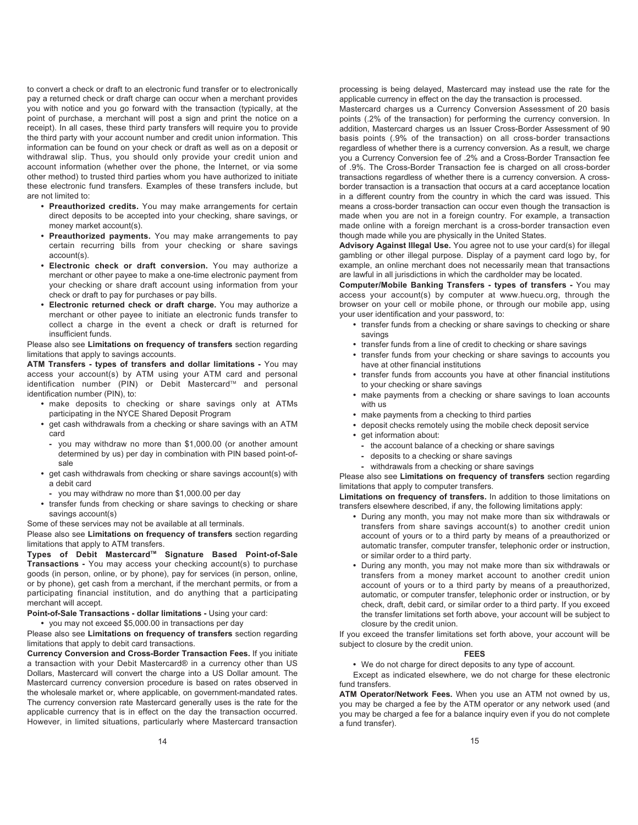to convert a check or draft to an electronic fund transfer or to electronically pay a returned check or draft charge can occur when a merchant provides you with notice and you go forward with the transaction (typically, at the point of purchase, a merchant will post a sign and print the notice on a receipt). In all cases, these third party transfers will require you to provide the third party with your account number and credit union information. This information can be found on your check or draft as well as on a deposit or withdrawal slip. Thus, you should only provide your credit union and account information (whether over the phone, the Internet, or via some other method) to trusted third parties whom you have authorized to initiate these electronic fund transfers. Examples of these transfers include, but are not limited to:

- **Preauthorized credits.** You may make arrangements for certain direct deposits to be accepted into your checking, share savings, or money market account(s).
- **Preauthorized payments.** You may make arrangements to pay certain recurring bills from your checking or share savings account(s).
- **Electronic check or draft conversion.** You may authorize a merchant or other payee to make a one-time electronic payment from your checking or share draft account using information from your check or draft to pay for purchases or pay bills.
- **Electronic returned check or draft charge.** You may authorize a merchant or other payee to initiate an electronic funds transfer to collect a charge in the event a check or draft is returned for insufficient funds.

Please also see **Limitations on frequency of transfers** section regarding limitations that apply to savings accounts.

**ATM Transfers - types of transfers and dollar limitations -** You may access your account(s) by ATM using your ATM card and personal identification number (PIN) or Debit Mastercard™ and personal identification number (PIN), to:

- **•** make deposits to checking or share savings only at ATMs participating in the NYCE Shared Deposit Program
- **•** get cash withdrawals from a checking or share savings with an ATM card
	- **-** you may withdraw no more than \$1,000.00 (or another amount determined by us) per day in combination with PIN based point-ofsale
- **•** get cash withdrawals from checking or share savings account(s) with a debit card
	- **-** you may withdraw no more than \$1,000.00 per day
- **•** transfer funds from checking or share savings to checking or share savings account(s)

Some of these services may not be available at all terminals.

Please also see **Limitations on frequency of transfers** section regarding limitations that apply to ATM transfers.

Types of Debit Mastercard™ Signature Based Point-of-Sale **Transactions -** You may access your checking account(s) to purchase goods (in person, online, or by phone), pay for services (in person, online, or by phone), get cash from a merchant, if the merchant permits, or from a participating financial institution, and do anything that a participating merchant will accept.

# **Point-of-Sale Transactions - dollar limitations -** Using your card:

**•** you may not exceed \$5,000.00 in transactions per day

Please also see **Limitations on frequency of transfers** section regarding limitations that apply to debit card transactions.

**Currency Conversion and Cross-Border Transaction Fees.** If you initiate a transaction with your Debit Mastercard® in a currency other than US Dollars, Mastercard will convert the charge into a US Dollar amount. The Mastercard currency conversion procedure is based on rates observed in the wholesale market or, where applicable, on government-mandated rates. The currency conversion rate Mastercard generally uses is the rate for the applicable currency that is in effect on the day the transaction occurred. However, in limited situations, particularly where Mastercard transaction

processing is being delayed, Mastercard may instead use the rate for the applicable currency in effect on the day the transaction is processed.

Mastercard charges us a Currency Conversion Assessment of 20 basis points (.2% of the transaction) for performing the currency conversion. In addition, Mastercard charges us an Issuer Cross-Border Assessment of 90 basis points (.9% of the transaction) on all cross-border transactions regardless of whether there is a currency conversion. As a result, we charge you a Currency Conversion fee of .2% and a Cross-Border Transaction fee of .9%. The Cross-Border Transaction fee is charged on all cross-border transactions regardless of whether there is a currency conversion. A crossborder transaction is a transaction that occurs at a card acceptance location in a different country from the country in which the card was issued. This means a cross-border transaction can occur even though the transaction is made when you are not in a foreign country. For example, a transaction made online with a foreign merchant is a cross-border transaction even though made while you are physically in the United States.

**Advisory Against Illegal Use.** You agree not to use your card(s) for illegal gambling or other illegal purpose. Display of a payment card logo by, for example, an online merchant does not necessarily mean that transactions are lawful in all jurisdictions in which the cardholder may be located.

**Computer/Mobile Banking Transfers - types of transfers -** You may access your account(s) by computer at www.huecu.org, through the browser on your cell or mobile phone, or through our mobile app, using your user identification and your password, to:

- **•** transfer funds from a checking or share savings to checking or share savings
- **•** transfer funds from a line of credit to checking or share savings
- **•** transfer funds from your checking or share savings to accounts you have at other financial institutions
- **•** transfer funds from accounts you have at other financial institutions to your checking or share savings
- **•** make payments from a checking or share savings to loan accounts with us
- **•** make payments from a checking to third parties
- **•** deposit checks remotely using the mobile check deposit service
- **•** get information about:
	- **-** the account balance of a checking or share savings
	- **-** deposits to a checking or share savings
	- **-** withdrawals from a checking or share savings

Please also see **Limitations on frequency of transfers** section regarding limitations that apply to computer transfers.

**Limitations on frequency of transfers.** In addition to those limitations on transfers elsewhere described, if any, the following limitations apply:

- **•** During any month, you may not make more than six withdrawals or transfers from share savings account(s) to another credit union account of yours or to a third party by means of a preauthorized or automatic transfer, computer transfer, telephonic order or instruction, or similar order to a third party.
- **•** During any month, you may not make more than six withdrawals or transfers from a money market account to another credit union account of yours or to a third party by means of a preauthorized, automatic, or computer transfer, telephonic order or instruction, or by check, draft, debit card, or similar order to a third party. If you exceed the transfer limitations set forth above, your account will be subject to closure by the credit union.

If you exceed the transfer limitations set forth above, your account will be subject to closure by the credit union.

# **FEES**

**•** We do not charge for direct deposits to any type of account.

Except as indicated elsewhere, we do not charge for these electronic fund transfers.

**ATM Operator/Network Fees.** When you use an ATM not owned by us, you may be charged a fee by the ATM operator or any network used (and you may be charged a fee for a balance inquiry even if you do not complete a fund transfer).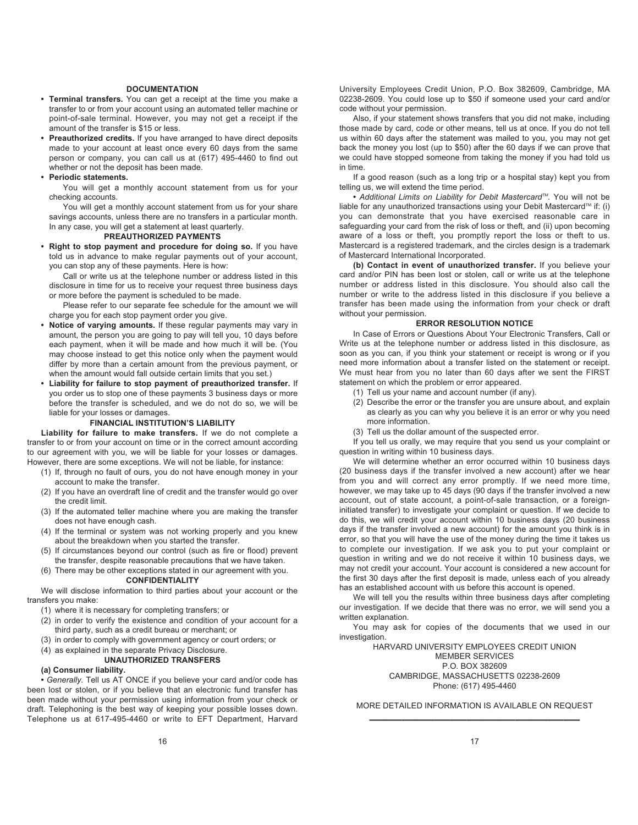# **DOCUMENTATION**

- **Terminal transfers.** You can get a receipt at the time you make a transfer to or from your account using an automated teller machine or point-of-sale terminal. However, you may not get a receipt if the amount of the transfer is \$15 or less.
- **Preauthorized credits.** If you have arranged to have direct deposits made to your account at least once every 60 days from the same person or company, you can call us at (617) 495-4460 to find out whether or not the deposit has been made.

#### **• Periodic statements.**

You will get a monthly account statement from us for your checking accounts.

You will get a monthly account statement from us for your share savings accounts, unless there are no transfers in a particular month. In any case, you will get a statement at least quarterly.

#### **PREAUTHORIZED PAYMENTS**

**• Right to stop payment and procedure for doing so.** If you have told us in advance to make regular payments out of your account, you can stop any of these payments. Here is how:

Call or write us at the telephone number or address listed in this disclosure in time for us to receive your request three business days or more before the payment is scheduled to be made.

Please refer to our separate fee schedule for the amount we will charge you for each stop payment order you give.

- **Notice of varying amounts.** If these regular payments may vary in amount, the person you are going to pay will tell you, 10 days before each payment, when it will be made and how much it will be. (You may choose instead to get this notice only when the payment would differ by more than a certain amount from the previous payment, or when the amount would fall outside certain limits that you set.)
- **Liability for failure to stop payment of preauthorized transfer.** If you order us to stop one of these payments 3 business days or more before the transfer is scheduled, and we do not do so, we will be liable for your losses or damages.

# **FINANCIAL INSTITUTION'S LIABILITY**

**Liability for failure to make transfers.** If we do not complete a transfer to or from your account on time or in the correct amount according to our agreement with you, we will be liable for your losses or damages. However, there are some exceptions. We will not be liable, for instance:

- (1) If, through no fault of ours, you do not have enough money in your account to make the transfer.
- (2) If you have an overdraft line of credit and the transfer would go over the credit limit.
- (3) If the automated teller machine where you are making the transfer does not have enough cash.
- (4) If the terminal or system was not working properly and you knew about the breakdown when you started the transfer.
- (5) If circumstances beyond our control (such as fire or flood) prevent the transfer, despite reasonable precautions that we have taken.
- (6) There may be other exceptions stated in our agreement with you. **CONFIDENTIALITY**

We will disclose information to third parties about your account or the transfers you make:

(1) where it is necessary for completing transfers; or

- (2) in order to verify the existence and condition of your account for a third party, such as a credit bureau or merchant; or
- (3) in order to comply with government agency or court orders; or
- (4) as explained in the separate Privacy Disclosure.

# **UNAUTHORIZED TRANSFERS**

# **(a) Consumer liability.**

**•** *Generally.* Tell us AT ONCE if you believe your card and/or code has been lost or stolen, or if you believe that an electronic fund transfer has been made without your permission using information from your check or draft. Telephoning is the best way of keeping your possible losses down. Telephone us at 617-495-4460 or write to EFT Department, Harvard

University Employees Credit Union, P.O. Box 382609, Cambridge, MA 02238-2609. You could lose up to \$50 if someone used your card and/or code without your permission.

Also, if your statement shows transfers that you did not make, including those made by card, code or other means, tell us at once. If you do not tell us within 60 days after the statement was mailed to you, you may not get back the money you lost (up to \$50) after the 60 days if we can prove that we could have stopped someone from taking the money if you had told us in time.

If a good reason (such as a long trip or a hospital stay) kept you from telling us, we will extend the time period.

• Additional Limits on Liability for Debit Mastercard<sup>™</sup>. You will not be liable for any unauthorized transactions using your Debit Mastercard™ if: (i) you can demonstrate that you have exercised reasonable care in safeguarding your card from the risk of loss or theft, and (ii) upon becoming aware of a loss or theft, you promptly report the loss or theft to us. Mastercard is a registered trademark, and the circles design is a trademark of Mastercard International Incorporated.

**(b) Contact in event of unauthorized transfer.** If you believe your card and/or PIN has been lost or stolen, call or write us at the telephone number or address listed in this disclosure. You should also call the number or write to the address listed in this disclosure if you believe a transfer has been made using the information from your check or draft without your permission.

#### **ERROR RESOLUTION NOTICE**

In Case of Errors or Questions About Your Electronic Transfers, Call or Write us at the telephone number or address listed in this disclosure, as soon as you can, if you think your statement or receipt is wrong or if you need more information about a transfer listed on the statement or receipt. We must hear from you no later than 60 days after we sent the FIRST statement on which the problem or error appeared.

- (1) Tell us your name and account number (if any).
- (2) Describe the error or the transfer you are unsure about, and explain as clearly as you can why you believe it is an error or why you need more information.
- (3) Tell us the dollar amount of the suspected error.

If you tell us orally, we may require that you send us your complaint or question in writing within 10 business days.

We will determine whether an error occurred within 10 business days (20 business days if the transfer involved a new account) after we hear from you and will correct any error promptly. If we need more time, however, we may take up to 45 days (90 days if the transfer involved a new account, out of state account, a point-of-sale transaction, or a foreigninitiated transfer) to investigate your complaint or question. If we decide to do this, we will credit your account within 10 business days (20 business days if the transfer involved a new account) for the amount you think is in error, so that you will have the use of the money during the time it takes us to complete our investigation. If we ask you to put your complaint or question in writing and we do not receive it within 10 business days, we may not credit your account. Your account is considered a new account for the first 30 days after the first deposit is made, unless each of you already has an established account with us before this account is opened.

We will tell you the results within three business days after completing our investigation. If we decide that there was no error, we will send you a written explanation.

You may ask for copies of the documents that we used in our investigation.

HARVARD UNIVERSITY EMPLOYEES CREDIT UNION MEMBER SERVICES P.O. BOX 382609 CAMBRIDGE, MASSACHUSETTS 02238-2609 Phone: (617) 495-4460

MORE DETAILED INFORMATION IS AVAILABLE ON REQUEST —————————————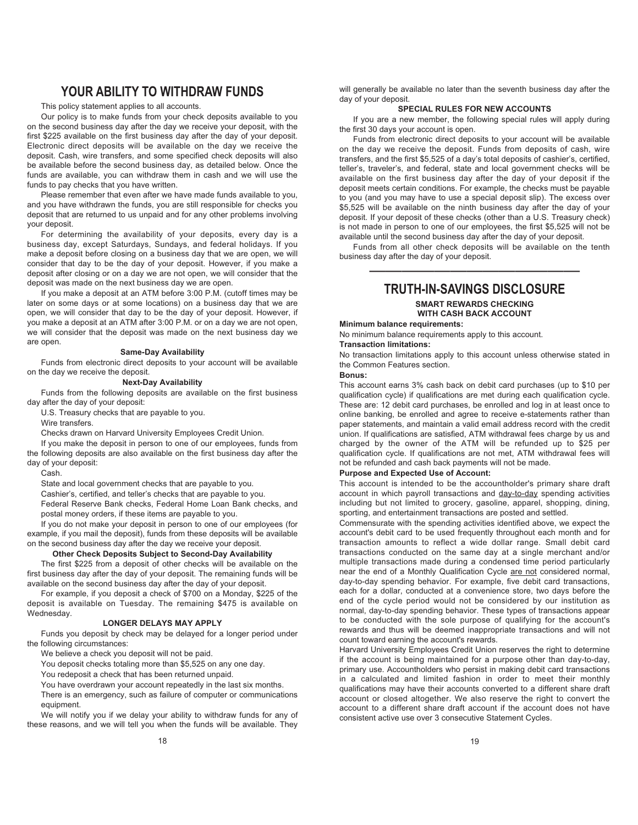# **YOUR ABILITY TO WITHDRAW FUNDS**

This policy statement applies to all accounts.

Our policy is to make funds from your check deposits available to you on the second business day after the day we receive your deposit, with the first \$225 available on the first business day after the day of your deposit. Electronic direct deposits will be available on the day we receive the deposit. Cash, wire transfers, and some specified check deposits will also be available before the second business day, as detailed below. Once the funds are available, you can withdraw them in cash and we will use the funds to pay checks that you have written.

Please remember that even after we have made funds available to you, and you have withdrawn the funds, you are still responsible for checks you deposit that are returned to us unpaid and for any other problems involving your deposit.

For determining the availability of your deposits, every day is a business day, except Saturdays, Sundays, and federal holidays. If you make a deposit before closing on a business day that we are open, we will consider that day to be the day of your deposit. However, if you make a deposit after closing or on a day we are not open, we will consider that the deposit was made on the next business day we are open.

If you make a deposit at an ATM before 3:00 P.M. (cutoff times may be later on some days or at some locations) on a business day that we are open, we will consider that day to be the day of your deposit. However, if you make a deposit at an ATM after 3:00 P.M. or on a day we are not open, we will consider that the deposit was made on the next business day we are open.

# **Same-Day Availability**

Funds from electronic direct deposits to your account will be available on the day we receive the deposit.

# **Next-Day Availability**

Funds from the following deposits are available on the first business day after the day of your deposit:

U.S. Treasury checks that are payable to you.

Wire transfers.

Checks drawn on Harvard University Employees Credit Union.

If you make the deposit in person to one of our employees, funds from

the following deposits are also available on the first business day after the day of your deposit:

Cash.

State and local government checks that are payable to you.

Cashier's, certified, and teller's checks that are payable to you. Federal Reserve Bank checks, Federal Home Loan Bank checks, and

postal money orders, if these items are payable to you.

If you do not make your deposit in person to one of our employees (for example, if you mail the deposit), funds from these deposits will be available on the second business day after the day we receive your deposit.

# **Other Check Deposits Subject to Second-Day Availability**

The first \$225 from a deposit of other checks will be available on the first business day after the day of your deposit. The remaining funds will be available on the second business day after the day of your deposit.

For example, if you deposit a check of \$700 on a Monday, \$225 of the deposit is available on Tuesday. The remaining \$475 is available on Wednesday.

# **LONGER DELAYS MAY APPLY**

Funds you deposit by check may be delayed for a longer period under the following circumstances:

We believe a check you deposit will not be paid.

You deposit checks totaling more than \$5,525 on any one day.

You redeposit a check that has been returned unpaid.

You have overdrawn your account repeatedly in the last six months.

There is an emergency, such as failure of computer or communications equipment.

We will notify you if we delay your ability to withdraw funds for any of these reasons, and we will tell you when the funds will be available. They 18

will generally be available no later than the seventh business day after the day of your deposit.

# **SPECIAL RULES FOR NEW ACCOUNTS**

If you are a new member, the following special rules will apply during the first 30 days your account is open.

Funds from electronic direct deposits to your account will be available on the day we receive the deposit. Funds from deposits of cash, wire transfers, and the first \$5,525 of a day's total deposits of cashier's, certified, teller's, traveler's, and federal, state and local government checks will be available on the first business day after the day of your deposit if the deposit meets certain conditions. For example, the checks must be payable to you (and you may have to use a special deposit slip). The excess over \$5,525 will be available on the ninth business day after the day of your deposit. If your deposit of these checks (other than a U.S. Treasury check) is not made in person to one of our employees, the first \$5,525 will not be available until the second business day after the day of your deposit.

Funds from all other check deposits will be available on the tenth business day after the day of your deposit. —————————————

# **TRUTH-IN-SAVINGS DISCLOSURE SMART REWARDS CHECKING**

# **WITH CASH BACK ACCOUNT**

# **Minimum balance requirements:**

No minimum balance requirements apply to this account. **Transaction limitations:**

No transaction limitations apply to this account unless otherwise stated in the Common Features section.

# **Bonus:**

This account earns 3% cash back on debit card purchases (up to \$10 per qualification cycle) if qualifications are met during each qualification cycle. These are: 12 debit card purchases, be enrolled and log in at least once to online banking, be enrolled and agree to receive e-statements rather than paper statements, and maintain a valid email address record with the credit union. If qualifications are satisfied, ATM withdrawal fees charge by us and charged by the owner of the ATM will be refunded up to \$25 per qualification cycle. If qualifications are not met, ATM withdrawal fees will not be refunded and cash back payments will not be made.

# **Purpose and Expected Use of Account:**

This account is intended to be the accountholder's primary share draft account in which payroll transactions and day-to-day spending activities including but not limited to grocery, gasoline, apparel, shopping, dining, sporting, and entertainment transactions are posted and settled.

Commensurate with the spending activities identified above, we expect the account's debit card to be used frequently throughout each month and for transaction amounts to reflect a wide dollar range. Small debit card transactions conducted on the same day at a single merchant and/or multiple transactions made during a condensed time period particularly near the end of a Monthly Qualification Cycle are not considered normal, day-to-day spending behavior. For example, five debit card transactions, each for a dollar, conducted at a convenience store, two days before the end of the cycle period would not be considered by our institution as normal, day-to-day spending behavior. These types of transactions appear to be conducted with the sole purpose of qualifying for the account's rewards and thus will be deemed inappropriate transactions and will not count toward earning the account's rewards.

Harvard University Employees Credit Union reserves the right to determine if the account is being maintained for a purpose other than day-to-day, primary use. Accountholders who persist in making debit card transactions in a calculated and limited fashion in order to meet their monthly qualifications may have their accounts converted to a different share draft account or closed altogether. We also reserve the right to convert the account to a different share draft account if the account does not have consistent active use over 3 consecutive Statement Cycles.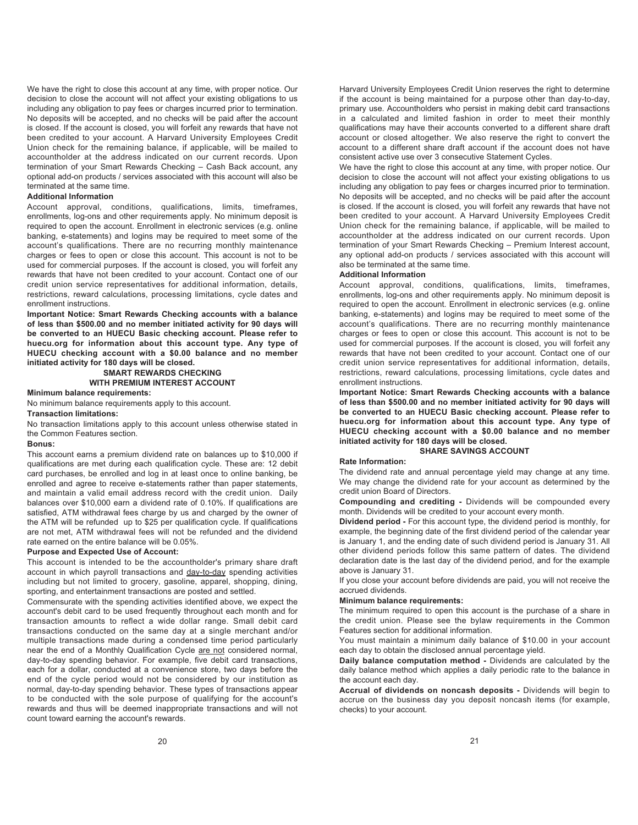We have the right to close this account at any time, with proper notice. Our decision to close the account will not affect your existing obligations to us including any obligation to pay fees or charges incurred prior to termination. No deposits will be accepted, and no checks will be paid after the account is closed. If the account is closed, you will forfeit any rewards that have not been credited to your account. A Harvard University Employees Credit Union check for the remaining balance, if applicable, will be mailed to accountholder at the address indicated on our current records. Upon termination of your Smart Rewards Checking – Cash Back account, any optional add-on products / services associated with this account will also be terminated at the same time.

# **Additional Information**

Account approval, conditions, qualifications, limits, timeframes, enrollments, log-ons and other requirements apply. No minimum deposit is required to open the account. Enrollment in electronic services (e.g. online banking, e-statements) and logins may be required to meet some of the account's qualifications. There are no recurring monthly maintenance charges or fees to open or close this account. This account is not to be used for commercial purposes. If the account is closed, you will forfeit any rewards that have not been credited to your account. Contact one of our credit union service representatives for additional information, details, restrictions, reward calculations, processing limitations, cycle dates and enrollment instructions.

**Important Notice: Smart Rewards Checking accounts with a balance of less than \$500.00 and no member initiated activity for 90 days will be converted to an HUECU Basic checking account. Please refer to huecu.org for information about this account type. Any type of HUECU checking account with a \$0.00 balance and no member initiated activity for 180 days will be closed.** 

# **SMART REWARDS CHECKING WITH PREMIUM INTEREST ACCOUNT**

# **Minimum balance requirements:**

No minimum balance requirements apply to this account.

**Transaction limitations:**

No transaction limitations apply to this account unless otherwise stated in the Common Features section.

# **Bonus:**

This account earns a premium dividend rate on balances up to \$10,000 if qualifications are met during each qualification cycle. These are: 12 debit card purchases, be enrolled and log in at least once to online banking, be enrolled and agree to receive e-statements rather than paper statements, and maintain a valid email address record with the credit union. Daily balances over \$10,000 earn a dividend rate of 0.10%. If qualifications are satisfied, ATM withdrawal fees charge by us and charged by the owner of the ATM will be refunded up to \$25 per qualification cycle. If qualifications are not met, ATM withdrawal fees will not be refunded and the dividend rate earned on the entire balance will be 0.05%.

# **Purpose and Expected Use of Account:**

This account is intended to be the accountholder's primary share draft account in which payroll transactions and day-to-day spending activities including but not limited to grocery, gasoline, apparel, shopping, dining, sporting, and entertainment transactions are posted and settled.

Commensurate with the spending activities identified above, we expect the account's debit card to be used frequently throughout each month and for transaction amounts to reflect a wide dollar range. Small debit card transactions conducted on the same day at a single merchant and/or multiple transactions made during a condensed time period particularly near the end of a Monthly Qualification Cycle are not considered normal, day-to-day spending behavior. For example, five debit card transactions, each for a dollar, conducted at a convenience store, two days before the end of the cycle period would not be considered by our institution as normal, day-to-day spending behavior. These types of transactions appear to be conducted with the sole purpose of qualifying for the account's rewards and thus will be deemed inappropriate transactions and will not count toward earning the account's rewards.

Harvard University Employees Credit Union reserves the right to determine if the account is being maintained for a purpose other than day-to-day, primary use. Accountholders who persist in making debit card transactions in a calculated and limited fashion in order to meet their monthly qualifications may have their accounts converted to a different share draft account or closed altogether. We also reserve the right to convert the account to a different share draft account if the account does not have consistent active use over 3 consecutive Statement Cycles.

We have the right to close this account at any time, with proper notice. Our decision to close the account will not affect your existing obligations to us including any obligation to pay fees or charges incurred prior to termination. No deposits will be accepted, and no checks will be paid after the account is closed. If the account is closed, you will forfeit any rewards that have not been credited to your account. A Harvard University Employees Credit Union check for the remaining balance, if applicable, will be mailed to accountholder at the address indicated on our current records. Upon termination of your Smart Rewards Checking – Premium Interest account, any optional add-on products / services associated with this account will also be terminated at the same time.

# **Additional Information**

Account approval, conditions, qualifications, limits, timeframes, enrollments, log-ons and other requirements apply. No minimum deposit is required to open the account. Enrollment in electronic services (e.g. online banking, e-statements) and logins may be required to meet some of the account's qualifications. There are no recurring monthly maintenance charges or fees to open or close this account. This account is not to be used for commercial purposes. If the account is closed, you will forfeit any rewards that have not been credited to your account. Contact one of our credit union service representatives for additional information, details, restrictions, reward calculations, processing limitations, cycle dates and enrollment instructions.

**Important Notice: Smart Rewards Checking accounts with a balance of less than \$500.00 and no member initiated activity for 90 days will be converted to an HUECU Basic checking account. Please refer to huecu.org for information about this account type. Any type of HUECU checking account with a \$0.00 balance and no member initiated activity for 180 days will be closed.** 

# **SHARE SAVINGS ACCOUNT**

# **Rate Information:**

The dividend rate and annual percentage yield may change at any time. We may change the dividend rate for your account as determined by the credit union Board of Directors.

**Compounding and crediting -** Dividends will be compounded every month. Dividends will be credited to your account every month.

**Dividend period -** For this account type, the dividend period is monthly, for example, the beginning date of the first dividend period of the calendar year is January 1, and the ending date of such dividend period is January 31. All other dividend periods follow this same pattern of dates. The dividend declaration date is the last day of the dividend period, and for the example above is January 31.

If you close your account before dividends are paid, you will not receive the accrued dividends.

# **Minimum balance requirements:**

The minimum required to open this account is the purchase of a share in the credit union. Please see the bylaw requirements in the Common Features section for additional information.

You must maintain a minimum daily balance of \$10.00 in your account each day to obtain the disclosed annual percentage yield.

**Daily balance computation method -** Dividends are calculated by the daily balance method which applies a daily periodic rate to the balance in the account each day.

**Accrual of dividends on noncash deposits -** Dividends will begin to accrue on the business day you deposit noncash items (for example, checks) to your account.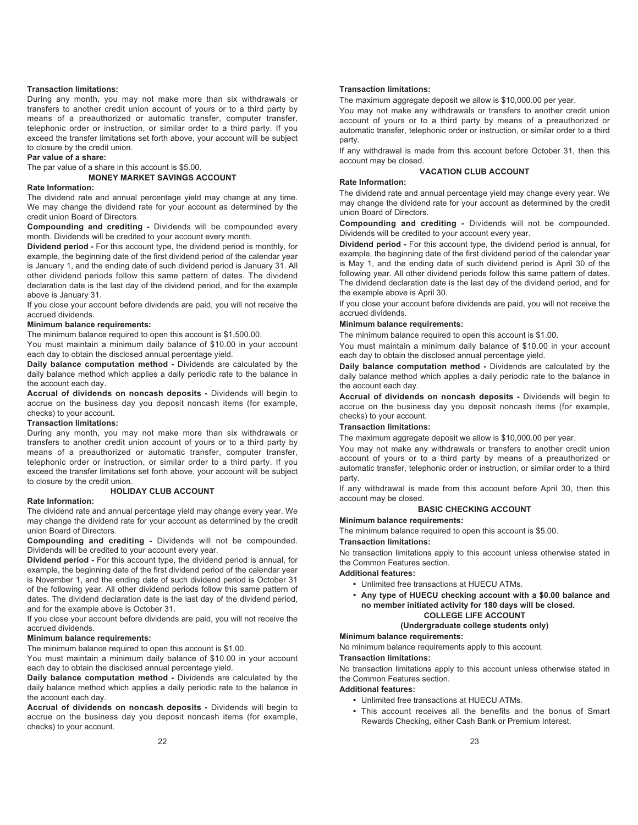# **Transaction limitations:**

During any month, you may not make more than six withdrawals or transfers to another credit union account of yours or to a third party by means of a preauthorized or automatic transfer, computer transfer, telephonic order or instruction, or similar order to a third party. If you exceed the transfer limitations set forth above, your account will be subject to closure by the credit union.

# **Par value of a share:**

The par value of a share in this account is \$5.00.

# **MONEY MARKET SAVINGS ACCOUNT**

# **Rate Information:**

The dividend rate and annual percentage yield may change at any time. We may change the dividend rate for your account as determined by the credit union Board of Directors.

**Compounding and crediting -** Dividends will be compounded every month. Dividends will be credited to your account every month.

**Dividend period -** For this account type, the dividend period is monthly, for example, the beginning date of the first dividend period of the calendar year is January 1, and the ending date of such dividend period is January 31. All other dividend periods follow this same pattern of dates. The dividend declaration date is the last day of the dividend period, and for the example above is January 31.

If you close your account before dividends are paid, you will not receive the accrued dividends.

# **Minimum balance requirements:**

The minimum balance required to open this account is \$1,500.00.

You must maintain a minimum daily balance of \$10.00 in your account each day to obtain the disclosed annual percentage yield.

**Daily balance computation method -** Dividends are calculated by the daily balance method which applies a daily periodic rate to the balance in the account each day.

**Accrual of dividends on noncash deposits -** Dividends will begin to accrue on the business day you deposit noncash items (for example, checks) to your account.

# **Transaction limitations:**

During any month, you may not make more than six withdrawals or transfers to another credit union account of yours or to a third party by means of a preauthorized or automatic transfer, computer transfer, telephonic order or instruction, or similar order to a third party. If you exceed the transfer limitations set forth above, your account will be subject to closure by the credit union.

# **HOLIDAY CLUB ACCOUNT**

# **Rate Information:**

The dividend rate and annual percentage yield may change every year. We may change the dividend rate for your account as determined by the credit union Board of Directors.

**Compounding and crediting -** Dividends will not be compounded. Dividends will be credited to your account every year.

**Dividend period -** For this account type, the dividend period is annual, for example, the beginning date of the first dividend period of the calendar year is November 1, and the ending date of such dividend period is October 31 of the following year. All other dividend periods follow this same pattern of dates. The dividend declaration date is the last day of the dividend period, and for the example above is October 31.

If you close your account before dividends are paid, you will not receive the accrued dividends.

# **Minimum balance requirements:**

The minimum balance required to open this account is \$1.00.

You must maintain a minimum daily balance of \$10.00 in your account each day to obtain the disclosed annual percentage yield.

**Daily balance computation method -** Dividends are calculated by the daily balance method which applies a daily periodic rate to the balance in the account each day.

**Accrual of dividends on noncash deposits -** Dividends will begin to accrue on the business day you deposit noncash items (for example, checks) to your account.

22

## **Transaction limitations:**

The maximum aggregate deposit we allow is \$10,000.00 per year.

You may not make any withdrawals or transfers to another credit union account of yours or to a third party by means of a preauthorized or automatic transfer, telephonic order or instruction, or similar order to a third party.

If any withdrawal is made from this account before October 31, then this account may be closed.

# **VACATION CLUB ACCOUNT**

# **Rate Information:**

The dividend rate and annual percentage yield may change every year. We may change the dividend rate for your account as determined by the credit union Board of Directors.

**Compounding and crediting -** Dividends will not be compounded. Dividends will be credited to your account every year.

**Dividend period -** For this account type, the dividend period is annual, for example, the beginning date of the first dividend period of the calendar year is May 1, and the ending date of such dividend period is April 30 of the following year. All other dividend periods follow this same pattern of dates. The dividend declaration date is the last day of the dividend period, and for the example above is April 30.

If you close your account before dividends are paid, you will not receive the accrued dividends.

# **Minimum balance requirements:**

The minimum balance required to open this account is \$1.00.

You must maintain a minimum daily balance of \$10.00 in your account each day to obtain the disclosed annual percentage yield.

**Daily balance computation method -** Dividends are calculated by the daily balance method which applies a daily periodic rate to the balance in the account each day.

**Accrual of dividends on noncash deposits -** Dividends will begin to accrue on the business day you deposit noncash items (for example, checks) to your account.

# **Transaction limitations:**

The maximum aggregate deposit we allow is \$10,000.00 per year.

You may not make any withdrawals or transfers to another credit union account of yours or to a third party by means of a preauthorized or automatic transfer, telephonic order or instruction, or similar order to a third party.

If any withdrawal is made from this account before April 30, then this account may be closed.

# **BASIC CHECKING ACCOUNT**

# **Minimum balance requirements:**

The minimum balance required to open this account is \$5.00. **Transaction limitations:**

No transaction limitations apply to this account unless otherwise stated in the Common Features section.

# **Additional features:**

- **•** Unlimited free transactions at HUECU ATMs.
- **Any type of HUECU checking account with a \$0.00 balance and no member initiated activity for 180 days will be closed. COLLEGE LIFE ACCOUNT**

# **(Undergraduate college students only)**

# **Minimum balance requirements:**

No minimum balance requirements apply to this account.

# **Transaction limitations:**

No transaction limitations apply to this account unless otherwise stated in the Common Features section.

# **Additional features:**

- **•** Unlimited free transactions at HUECU ATMs.
- **•** This account receives all the benefits and the bonus of Smart Rewards Checking, either Cash Bank or Premium Interest.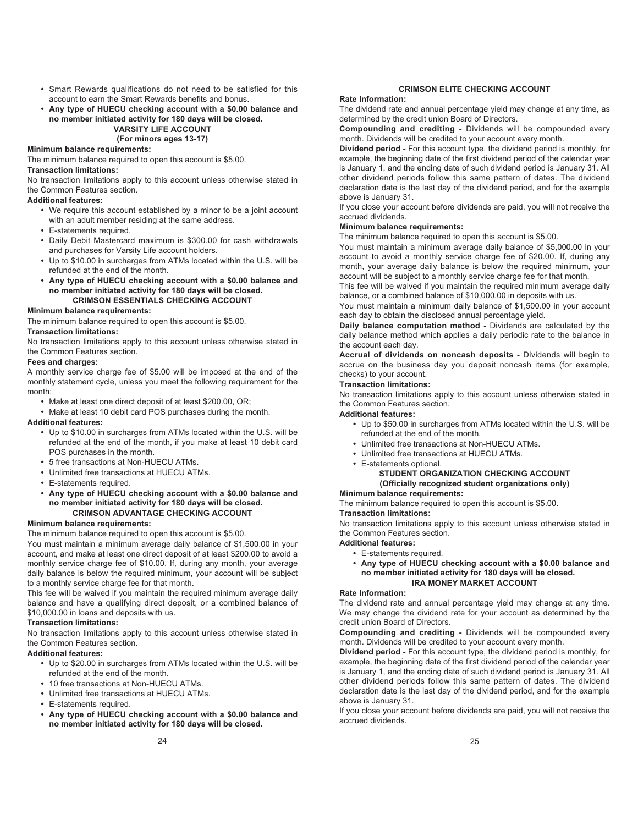- **•** Smart Rewards qualifications do not need to be satisfied for this account to earn the Smart Rewards benefits and bonus.
- **Any type of HUECU checking account with a \$0.00 balance and no member initiated activity for 180 days will be closed.**

# **VARSITY LIFE ACCOUNT (For minors ages 13-17)**

# **Minimum balance requirements:**

The minimum balance required to open this account is \$5.00.

# **Transaction limitations:**

No transaction limitations apply to this account unless otherwise stated in the Common Features section.

# **Additional features:**

- **•** We require this account established by a minor to be a joint account with an adult member residing at the same address.
- **•** E-statements required.
- **•** Daily Debit Mastercard maximum is \$300.00 for cash withdrawals and purchases for Varsity Life account holders.
- **•** Up to \$10.00 in surcharges from ATMs located within the U.S. will be refunded at the end of the month.
- **Any type of HUECU checking account with a \$0.00 balance and no member initiated activity for 180 days will be closed. CRIMSON ESSENTIALS CHECKING ACCOUNT**

# **Minimum balance requirements:**

The minimum balance required to open this account is \$5.00.

# **Transaction limitations:**

No transaction limitations apply to this account unless otherwise stated in the Common Features section.

# **Fees and charges:**

A monthly service charge fee of \$5.00 will be imposed at the end of the monthly statement cycle, unless you meet the following requirement for the month:

- **•** Make at least one direct deposit of at least \$200.00, OR;
- **•** Make at least 10 debit card POS purchases during the month.

# **Additional features:**

- **•** Up to \$10.00 in surcharges from ATMs located within the U.S. will be refunded at the end of the month, if you make at least 10 debit card POS purchases in the month.
- **•** 5 free transactions at Non-HUECU ATMs.
- **•** Unlimited free transactions at HUECU ATMs.
- **•** E-statements required.
- **• Any type of HUECU checking account with a \$0.00 balance and no member initiated activity for 180 days will be closed. CRIMSON ADVANTAGE CHECKING ACCOUNT**

# **Minimum balance requirements:**

The minimum balance required to open this account is \$5.00.

You must maintain a minimum average daily balance of \$1,500.00 in your account, and make at least one direct deposit of at least \$200.00 to avoid a monthly service charge fee of \$10.00. If, during any month, your average daily balance is below the required minimum, your account will be subject to a monthly service charge fee for that month.

This fee will be waived if you maintain the required minimum average daily balance and have a qualifying direct deposit, or a combined balance of \$10,000.00 in loans and deposits with us.

# **Transaction limitations:**

No transaction limitations apply to this account unless otherwise stated in the Common Features section.

# **Additional features:**

- **•** Up to \$20.00 in surcharges from ATMs located within the U.S. will be refunded at the end of the month.
- **•** 10 free transactions at Non-HUECU ATMs.
- **•** Unlimited free transactions at HUECU ATMs.
- **•** E-statements required.
- **Any type of HUECU checking account with a \$0.00 balance and no member initiated activity for 180 days will be closed.**

# **CRIMSON ELITE CHECKING ACCOUNT**

# **Rate Information:**

The dividend rate and annual percentage yield may change at any time, as determined by the credit union Board of Directors.

**Compounding and crediting -** Dividends will be compounded every month. Dividends will be credited to your account every month.

**Dividend period -** For this account type, the dividend period is monthly, for example, the beginning date of the first dividend period of the calendar year is January 1, and the ending date of such dividend period is January 31. All other dividend periods follow this same pattern of dates. The dividend declaration date is the last day of the dividend period, and for the example above is January 31.

If you close your account before dividends are paid, you will not receive the accrued dividends.

# **Minimum balance requirements:**

The minimum balance required to open this account is \$5.00.

You must maintain a minimum average daily balance of \$5,000.00 in your account to avoid a monthly service charge fee of \$20.00. If, during any month, your average daily balance is below the required minimum, your account will be subject to a monthly service charge fee for that month.

This fee will be waived if you maintain the required minimum average daily balance, or a combined balance of \$10,000.00 in deposits with us.

You must maintain a minimum daily balance of \$1,500.00 in your account each day to obtain the disclosed annual percentage yield.

**Daily balance computation method -** Dividends are calculated by the daily balance method which applies a daily periodic rate to the balance in the account each day.

**Accrual of dividends on noncash deposits -** Dividends will begin to accrue on the business day you deposit noncash items (for example, checks) to your account.

# **Transaction limitations:**

No transaction limitations apply to this account unless otherwise stated in the Common Features section.

# **Additional features:**

- **•** Up to \$50.00 in surcharges from ATMs located within the U.S. will be refunded at the end of the month.
- **•** Unlimited free transactions at Non-HUECU ATMs.
- **•** Unlimited free transactions at HUECU ATMs.
- **•** E-statements optional.

# **STUDENT ORGANIZATION CHECKING ACCOUNT (Officially recognized student organizations only)**

# **Minimum balance requirements:**

The minimum balance required to open this account is \$5.00.

# **Transaction limitations:**

No transaction limitations apply to this account unless otherwise stated in the Common Features section.

- **Additional features:**
	- **•** E-statements required.
	- **Any type of HUECU checking account with a \$0.00 balance and no member initiated activity for 180 days will be closed. IRA MONEY MARKET ACCOUNT**

# **Rate Information:**

The dividend rate and annual percentage yield may change at any time. We may change the dividend rate for your account as determined by the credit union Board of Directors.

**Compounding and crediting -** Dividends will be compounded every month. Dividends will be credited to your account every month.

**Dividend period -** For this account type, the dividend period is monthly, for example, the beginning date of the first dividend period of the calendar year is January 1, and the ending date of such dividend period is January 31. All other dividend periods follow this same pattern of dates. The dividend declaration date is the last day of the dividend period, and for the example above is January 31.

If you close your account before dividends are paid, you will not receive the accrued dividends.